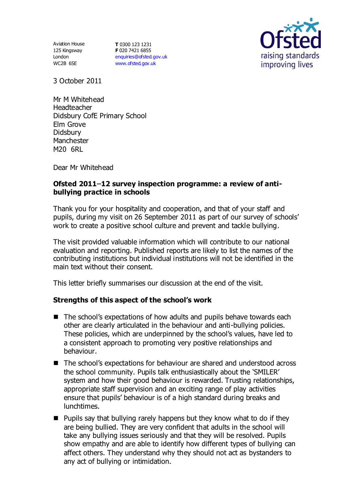Aviation House 125 Kingsway London WC2B 6SE

**T** 0300 123 1231 **F** 020 7421 6855 [enquiries@ofsted.gov.uk](mailto:enquiries@ofsted.gov.uk) [www.ofsted.gov.uk](http://www.ofsted.gov.uk/)



3 October 2011

Mr M Whitehead **Headteacher** Didsbury CofE Primary School Elm Grove Didsbury Manchester M20 6RL

Dear Mr Whitehead

## Ofsted 2011-12 survey inspection programme: a review of anti**bullying practice in schools**

Thank you for your hospitality and cooperation, and that of your staff and pupils, during my visit on 26 September 2011 as part of our survey of schools' work to create a positive school culture and prevent and tackle bullying.

The visit provided valuable information which will contribute to our national evaluation and reporting. Published reports are likely to list the names of the contributing institutions but individual institutions will not be identified in the main text without their consent.

This letter briefly summarises our discussion at the end of the visit.

## **Strengths of this aspect of the school's work**

- The school's expectations of how adults and pupils behave towards each other are clearly articulated in the behaviour and anti-bullying policies. These policies, which are underpinned by the school's values, have led to a consistent approach to promoting very positive relationships and behaviour.
- The school's expectations for behaviour are shared and understood across the school community. Pupils talk enthusiastically about the 'SMILER' system and how their good behaviour is rewarded. Trusting relationships, appropriate staff supervision and an exciting range of play activities ensure that pupils' behaviour is of a high standard during breaks and lunchtimes.
- $\blacksquare$  Pupils say that bullying rarely happens but they know what to do if they are being bullied. They are very confident that adults in the school will take any bullying issues seriously and that they will be resolved. Pupils show empathy and are able to identify how different types of bullying can affect others. They understand why they should not act as bystanders to any act of bullying or intimidation.